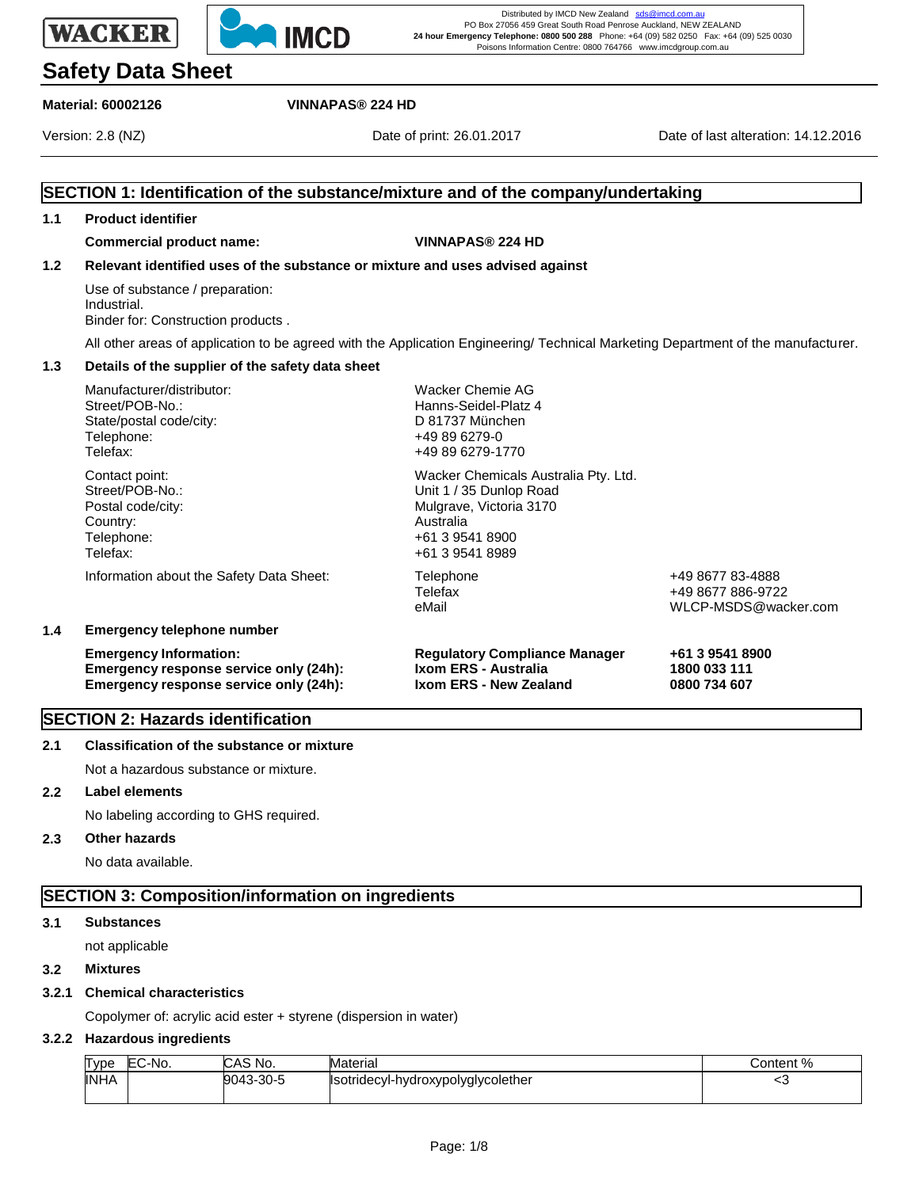# **Safety Data Sheet**

## **Material: 60002126 VINNAPAS® 224 HD**

**WACKER** 

**IMCD** 

**SECTION 1: Identification of the substance/mixture and of the company/undertaking** 1.

Distributed by IMCD New Zealand sds@imcd.com PO Box 27056 459 Great South Road Penrose Auckland, NEW ZEALAND **24 hour Emergency Telephone: 0800 500 288** Phone: +64 (09) 582 0250 Fax: +64 (09) 525 0030 Poisons Information Centre: 0800 764766 www.imcdgroup.com.au

Version: 2.8 (NZ) Date of print: 26.01.2017 Date of last alteration: 14.12.2016

| 1.1 | <b>Product identifier</b>                                                                                                        |                                                                                                                                               |                                                               |  |  |
|-----|----------------------------------------------------------------------------------------------------------------------------------|-----------------------------------------------------------------------------------------------------------------------------------------------|---------------------------------------------------------------|--|--|
|     | <b>Commercial product name:</b>                                                                                                  | <b>VINNAPAS® 224 HD</b>                                                                                                                       |                                                               |  |  |
| 1.2 |                                                                                                                                  | Relevant identified uses of the substance or mixture and uses advised against                                                                 |                                                               |  |  |
|     | Use of substance / preparation:<br>Industrial.<br>Binder for: Construction products.                                             |                                                                                                                                               |                                                               |  |  |
|     | All other areas of application to be agreed with the Application Engineering/ Technical Marketing Department of the manufacturer |                                                                                                                                               |                                                               |  |  |
| 1.3 | Details of the supplier of the safety data sheet                                                                                 |                                                                                                                                               |                                                               |  |  |
|     | Manufacturer/distributor:<br>Street/POB-No.:<br>State/postal code/city:<br>Telephone:<br>Telefax:                                | Wacker Chemie AG<br>Hanns-Seidel-Platz 4<br>D 81737 München<br>+49 89 6279-0<br>+49 89 6279-1770                                              |                                                               |  |  |
|     | Contact point:<br>Street/POB-No.:<br>Postal code/city:<br>Country:<br>Telephone:<br>Telefax:                                     | Wacker Chemicals Australia Pty. Ltd.<br>Unit 1 / 35 Dunlop Road<br>Mulgrave, Victoria 3170<br>Australia<br>+61 3 9541 8900<br>+61 3 9541 8989 |                                                               |  |  |
|     | Information about the Safety Data Sheet:                                                                                         | Telephone<br>Telefax<br>eMail                                                                                                                 | +49 8677 83-4888<br>+49 8677 886-9722<br>WLCP-MSDS@wacker.com |  |  |
| 1.4 | <b>Emergency telephone number</b>                                                                                                |                                                                                                                                               |                                                               |  |  |
|     | <b>Emergency Information:</b><br>Emergency response service only (24h):<br>Emergency response service only (24h):                | <b>Regulatory Compliance Manager</b><br>Ixom ERS - Australia<br>Ixom ERS - New Zealand                                                        | +61 3 9541 8900<br>1800 033 111<br>0800 734 607               |  |  |
|     | <b>SECTION 2: Hazards identification</b>                                                                                         |                                                                                                                                               |                                                               |  |  |

#### **2.1 Classification of the substance or mixture**

Not a hazardous substance or mixture.

## **2.2 Label elements**

No labeling according to GHS required.

# **2.3 Other hazards**

No data available.

# **SECTION 3: Composition/information on ingredients**

#### **3.1 Substances**

not applicable

#### **3.2 Mixtures**

#### **3.2.1 Chemical characteristics**

Copolymer of: acrylic acid ester + styrene (dispersion in water)

#### **3.2.2 Hazardous ingredients**

| <b>Type</b> | EC-No. | CAS No.   | Material                           | Content % |
|-------------|--------|-----------|------------------------------------|-----------|
| <b>INHA</b> |        | 9043-30-5 | Isotridecyl-hydroxypolyglycolether |           |
|             |        |           |                                    |           |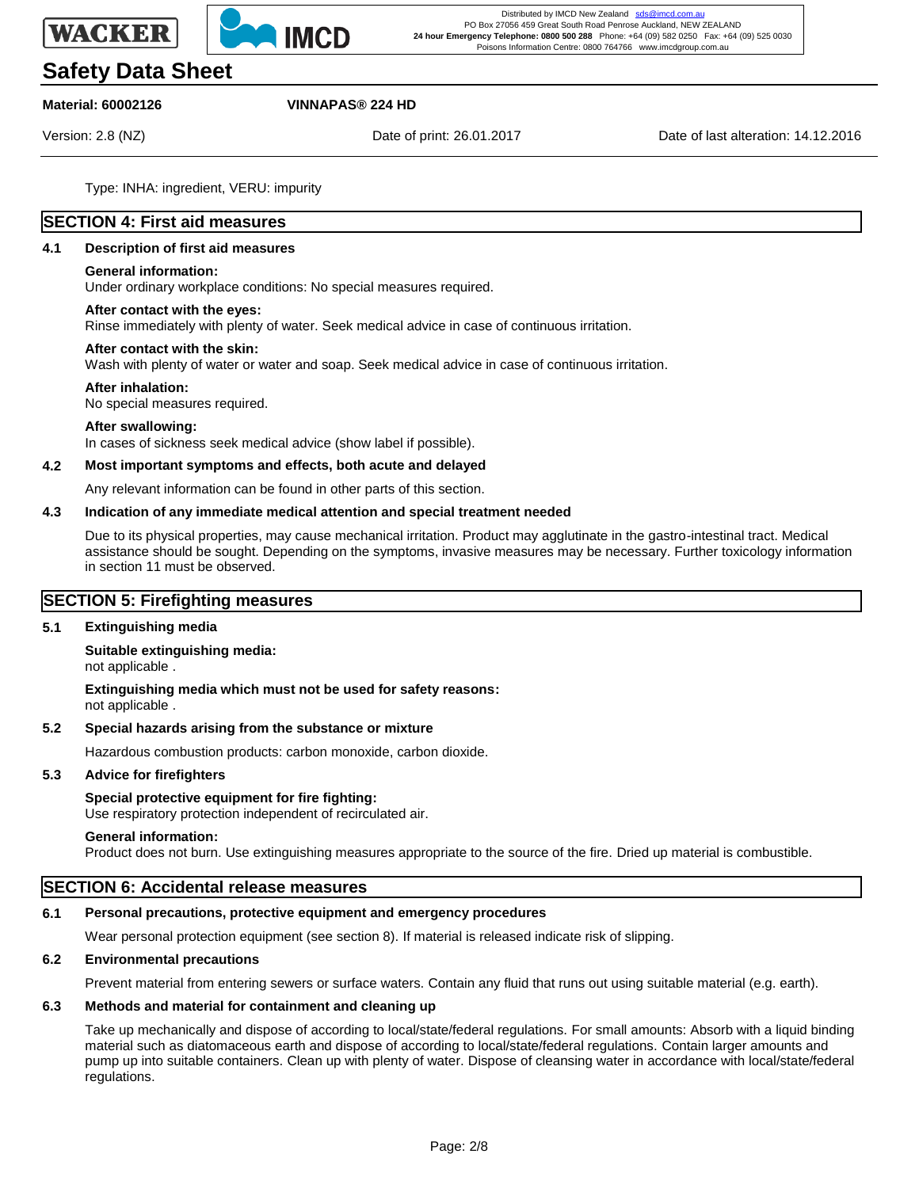



# **Safety Data Sheet**

#### **Material: 60002126 VINNAPAS® 224 HD**

Version: 2.8 (NZ) Date of print: 26.01.2017 Date of last alteration: 14.12.2016

Type: INHA: ingredient, VERU: impurity

# **SECTION 4: First aid measures**

#### **4.1 Description of first aid measures**

#### **General information:**

Under ordinary workplace conditions: No special measures required.

#### **After contact with the eyes:**

Rinse immediately with plenty of water. Seek medical advice in case of continuous irritation.

#### **After contact with the skin:**

Wash with plenty of water or water and soap. Seek medical advice in case of continuous irritation.

#### **After inhalation:**

No special measures required.

#### **After swallowing:**

In cases of sickness seek medical advice (show label if possible).

#### **4.2 Most important symptoms and effects, both acute and delayed**

Any relevant information can be found in other parts of this section.

#### **4.3 Indication of any immediate medical attention and special treatment needed**

Due to its physical properties, may cause mechanical irritation. Product may agglutinate in the gastro-intestinal tract. Medical assistance should be sought. Depending on the symptoms, invasive measures may be necessary. Further toxicology information in section 11 must be observed.

#### **SECTION 5: Firefighting measures**

#### **5.1 Extinguishing media**

**Suitable extinguishing media:** not applicable .

**Extinguishing media which must not be used for safety reasons:** not applicable .

#### **5.2 Special hazards arising from the substance or mixture**

Hazardous combustion products: carbon monoxide, carbon dioxide.

#### **5.3 Advice for firefighters**

#### **Special protective equipment for fire fighting:**

Use respiratory protection independent of recirculated air.

#### **General information:**

Product does not burn. Use extinguishing measures appropriate to the source of the fire. Dried up material is combustible.

### **SECTION 6: Accidental release measures**

#### **6.1 Personal precautions, protective equipment and emergency procedures**

Wear personal protection equipment (see section 8). If material is released indicate risk of slipping.

#### **6.2 Environmental precautions**

Prevent material from entering sewers or surface waters. Contain any fluid that runs out using suitable material (e.g. earth).

#### **6.3 Methods and material for containment and cleaning up**

Take up mechanically and dispose of according to local/state/federal regulations. For small amounts: Absorb with a liquid binding material such as diatomaceous earth and dispose of according to local/state/federal regulations. Contain larger amounts and pump up into suitable containers. Clean up with plenty of water. Dispose of cleansing water in accordance with local/state/federal regulations.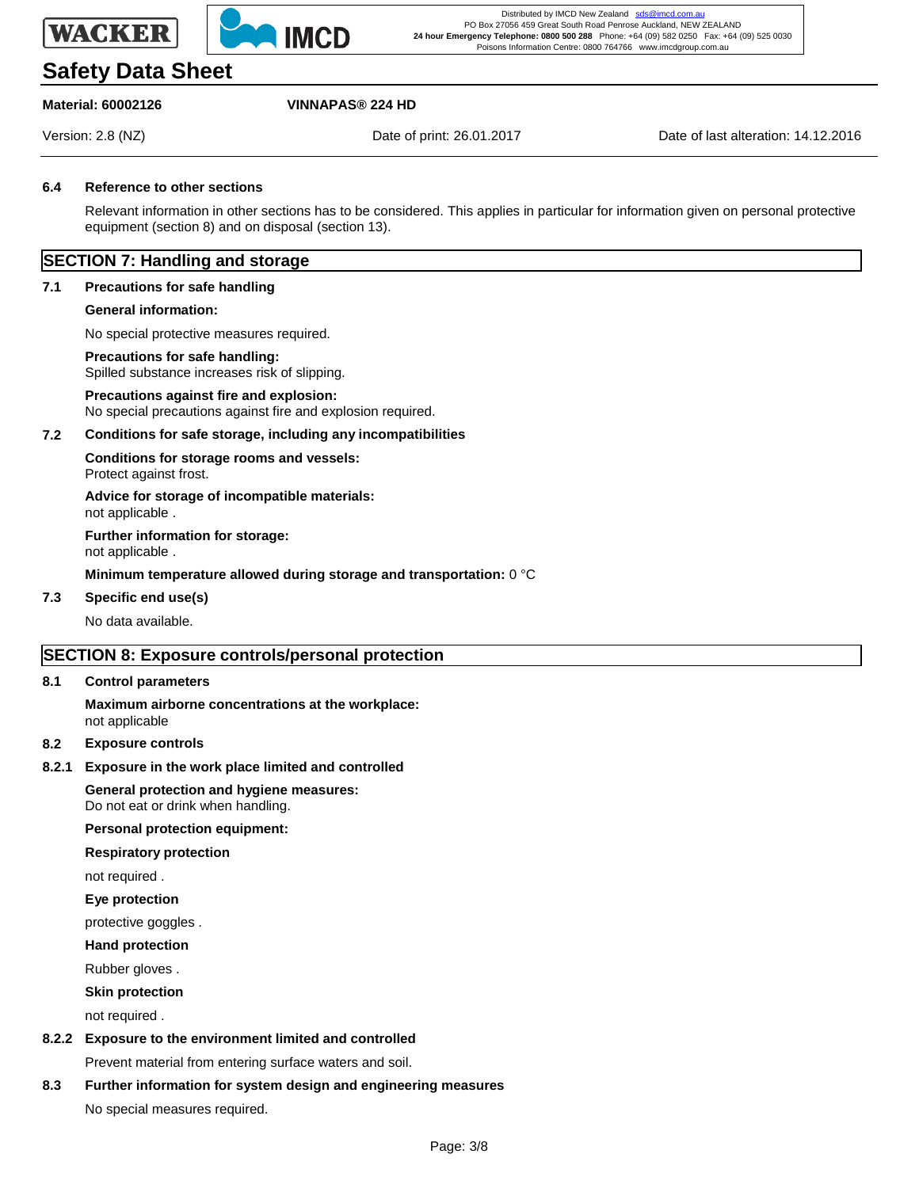



# **Safety Data Sheet**

# **Material: 60002126 VINNAPAS® 224 HD**

Version: 2.8 (NZ) Date of print: 26.01.2017 Date of last alteration: 14.12.2016

#### **6.4 Reference to other sections**

Relevant information in other sections has to be considered. This applies in particular for information given on personal protective equipment (section 8) and on disposal (section 13).

# **SECTION 7: Handling and storage**

#### **7.1 Precautions for safe handling**

#### **General information:**

No special protective measures required.

#### **Precautions for safe handling:**

Spilled substance increases risk of slipping.

#### **Precautions against fire and explosion:** No special precautions against fire and explosion required.

#### **7.2 Conditions for safe storage, including any incompatibilities**

**Conditions for storage rooms and vessels:** Protect against frost.

**Advice for storage of incompatible materials:** not applicable .

**Further information for storage:**

not applicable .

#### **Minimum temperature allowed during storage and transportation:** 0 °C

#### **7.3 Specific end use(s)**

No data available.

# **SECTION 8: Exposure controls/personal protection**

#### **8.1 Control parameters**

**Maximum airborne concentrations at the workplace:** not applicable

#### **8.2 Exposure controls**

#### **8.2.1 Exposure in the work place limited and controlled**

**General protection and hygiene measures:** Do not eat or drink when handling.

#### **Personal protection equipment:**

#### **Respiratory protection**

not required .

#### **Eye protection**

protective goggles .

#### **Hand protection**

Rubber gloves .

#### **Skin protection**

not required .

### **8.2.2 Exposure to the environment limited and controlled**

Prevent material from entering surface waters and soil.

# **8.3 Further information for system design and engineering measures**

No special measures required.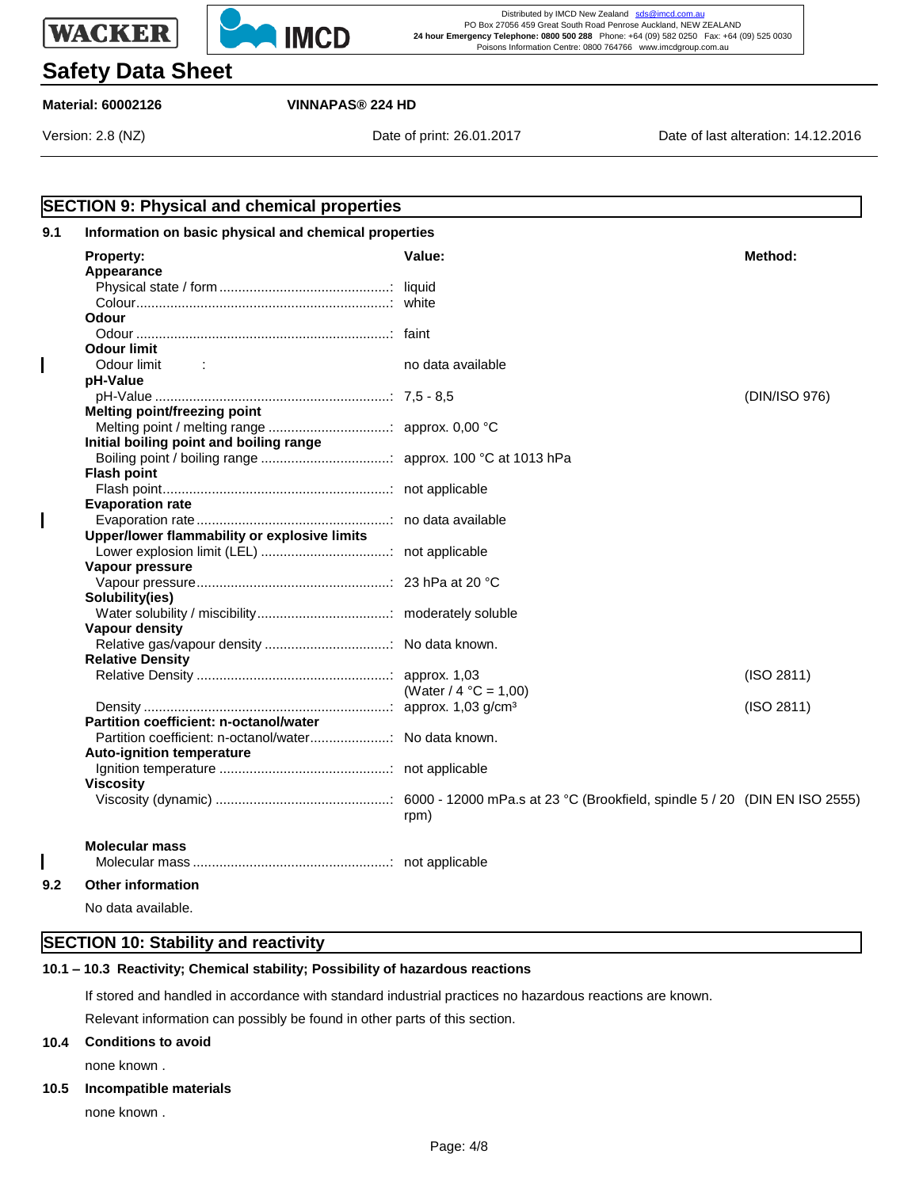



# **Safety Data Sheet**

**Material: 60002126 VINNAPAS® 224 HD**

Version: 2.8 (NZ) Date of print: 26.01.2017 Date of last alteration: 14.12.2016

|     | <b>SECTION 9: Physical and chemical properties</b>    |                          |               |
|-----|-------------------------------------------------------|--------------------------|---------------|
| 9.1 | Information on basic physical and chemical properties |                          |               |
|     | Property:<br>Appearance                               | Value:                   | Method:       |
|     |                                                       |                          |               |
|     |                                                       |                          |               |
|     | <b>Odour</b>                                          |                          |               |
|     |                                                       |                          |               |
|     | <b>Odour limit</b>                                    |                          |               |
| I   | Odour limit<br>$\sim 100$ M                           | no data available        |               |
|     | pH-Value                                              |                          |               |
|     |                                                       |                          | (DIN/ISO 976) |
|     | Melting point/freezing point                          |                          |               |
|     |                                                       |                          |               |
|     | Initial boiling point and boiling range               |                          |               |
|     |                                                       |                          |               |
|     | <b>Flash point</b>                                    |                          |               |
|     |                                                       |                          |               |
|     | <b>Evaporation rate</b>                               |                          |               |
|     |                                                       |                          |               |
|     | Upper/lower flammability or explosive limits          |                          |               |
|     |                                                       |                          |               |
|     | Vapour pressure                                       |                          |               |
|     | Solubility(ies)                                       |                          |               |
|     |                                                       |                          |               |
|     | Vapour density                                        |                          |               |
|     |                                                       |                          |               |
|     | <b>Relative Density</b>                               |                          |               |
|     |                                                       |                          | (ISO 2811)    |
|     |                                                       | (Water / $4 °C = 1,00$ ) |               |
|     |                                                       |                          | (ISO 2811)    |
|     | Partition coefficient: n-octanol/water                |                          |               |
|     | Partition coefficient: n-octanol/water No data known. |                          |               |
|     | <b>Auto-ignition temperature</b>                      |                          |               |
|     |                                                       |                          |               |
|     | <b>Viscosity</b>                                      |                          |               |
|     |                                                       | rpm)                     |               |
|     | <b>Molecular mass</b>                                 |                          |               |
|     |                                                       |                          |               |
| 9.2 | <b>Other information</b>                              |                          |               |
|     | No data available.                                    |                          |               |

# **SECTION 10: Stability and reactivity**

# **10.1 – 10.3 Reactivity; Chemical stability; Possibility of hazardous reactions**

**– 10.3** If stored and handled in accordance with standard industrial practices no hazardous reactions are known.

Relevant information can possibly be found in other parts of this section.

#### **10.4 Conditions to avoid**

none known .

#### **10.5 Incompatible materials**

none known .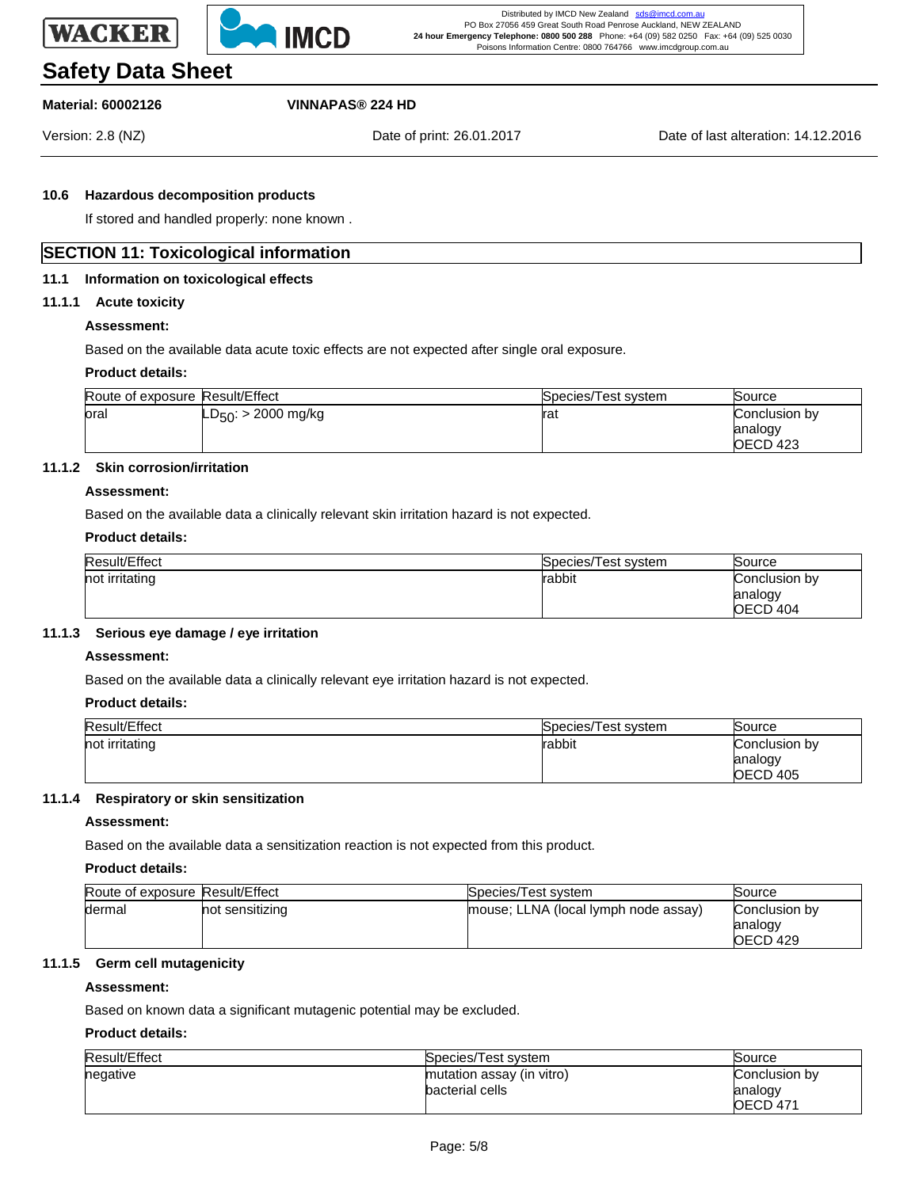



# **Safety Data Sheet**

# **Material: 60002126 VINNAPAS® 224 HD**

Version: 2.8 (NZ) Date of print: 26.01.2017 Date of last alteration: 14.12.2016

#### **10.6 Hazardous decomposition products**

If stored and handled properly: none known .

# **SECTION 11: Toxicological information**

#### **11.1 Information on toxicological effects**

#### **11.1.1 Acute toxicity**

## **Assessment:**

Based on the available data acute toxic effects are not expected after single oral exposure.

#### **Product details:**

| Route of exposure Result/Effect |                                  | Species/Test system | Source              |
|---------------------------------|----------------------------------|---------------------|---------------------|
| oral                            | 'LD <sub>50</sub> : > 2000 mg/kg | lrat                | Conclusion bv       |
|                                 |                                  |                     | analogy             |
|                                 |                                  |                     | OECD <sub>423</sub> |

# **11.1.2 Skin corrosion/irritation**

#### **Assessment:**

Based on the available data a clinically relevant skin irritation hazard is not expected.

#### **Product details:**

| Result/Effect  | Species/Test system | Source        |
|----------------|---------------------|---------------|
| not irritating | rabbit              | Conclusion by |
|                |                     | analogy       |
|                |                     | OECD 404      |

#### **11.1.3 Serious eye damage / eye irritation**

#### **Assessment:**

Based on the available data a clinically relevant eye irritation hazard is not expected.

#### **Product details:**

| Result/Effect  | Species/Test system | Source        |
|----------------|---------------------|---------------|
| not irritating | rabbit              | Conclusion by |
|                |                     | analogy       |
|                |                     | OECD 405      |

#### **11.1.4 Respiratory or skin sensitization**

#### **Assessment:**

Based on the available data a sensitization reaction is not expected from this product.

#### **Product details:**

| Route of exposure Result/Effect |                 | Species/Test system                  | Source        |
|---------------------------------|-----------------|--------------------------------------|---------------|
| dermal                          | not sensitizing | mouse; LLNA (local lymph node assay) | Conclusion by |
|                                 |                 |                                      | analogy       |
|                                 |                 |                                      | OECD 429      |

# **11.1.5 Germ cell mutagenicity**

## **Assessment:**

Based on known data a significant mutagenic potential may be excluded.

# **Product details:**

| Result/Effect | Species/Test system       | Source          |
|---------------|---------------------------|-----------------|
| negative      | mutation assay (in vitro) | Conclusion by   |
|               | bacterial cells           | analogy         |
|               |                           | <b>OECD 471</b> |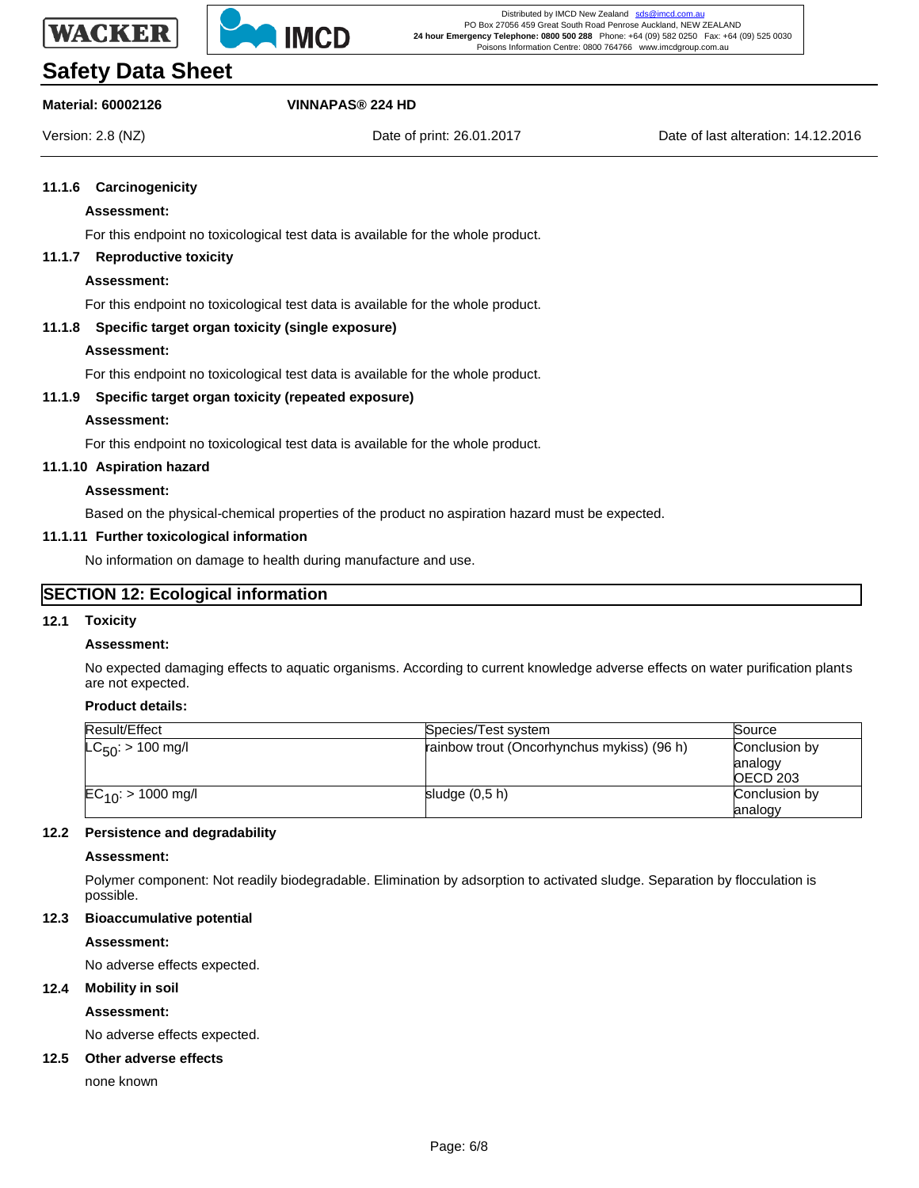



# **Safety Data Sheet**

# **Material: 60002126 VINNAPAS® 224 HD**

Version: 2.8 (NZ) Date of print: 26.01.2017 Date of last alteration: 14.12.2016

#### **11.1.6 Carcinogenicity**

#### **Assessment:**

For this endpoint no toxicological test data is available for the whole product.

#### **11.1.7 Reproductive toxicity**

#### **Assessment:**

For this endpoint no toxicological test data is available for the whole product.

#### **11.1.8 Specific target organ toxicity (single exposure)**

#### **Assessment:**

For this endpoint no toxicological test data is available for the whole product.

### **11.1.9 Specific target organ toxicity (repeated exposure)**

#### **Assessment:**

For this endpoint no toxicological test data is available for the whole product.

#### **11.1.10 Aspiration hazard**

### **Assessment:**

Based on the physical-chemical properties of the product no aspiration hazard must be expected.

#### **11.1.11 Further toxicological information**

No information on damage to health during manufacture and use.

### **SECTION 12: Ecological information**

#### **12.1 Toxicity**

#### **Assessment:**

No expected damaging effects to aquatic organisms. According to current knowledge adverse effects on water purification plants are not expected.

### **Product details:**

| Result/Effect           | Species/Test system                        | Source                               |
|-------------------------|--------------------------------------------|--------------------------------------|
| $LC_{50}$ : > 100 mg/l  | rainbow trout (Oncorhynchus mykiss) (96 h) | Conclusion by<br>analogy<br>OECD 203 |
| $EC_{10}$ : > 1000 mg/l | sludge $(0,5 h)$                           | Conclusion by<br>analogy             |

#### **12.2 Persistence and degradability**

#### **Assessment:**

Polymer component: Not readily biodegradable. Elimination by adsorption to activated sludge. Separation by flocculation is possible.

#### **12.3 Bioaccumulative potential**

#### **Assessment:**

No adverse effects expected.

#### **12.4 Mobility in soil**

**Assessment:**

No adverse effects expected.

#### **12.5 Other adverse effects**

none known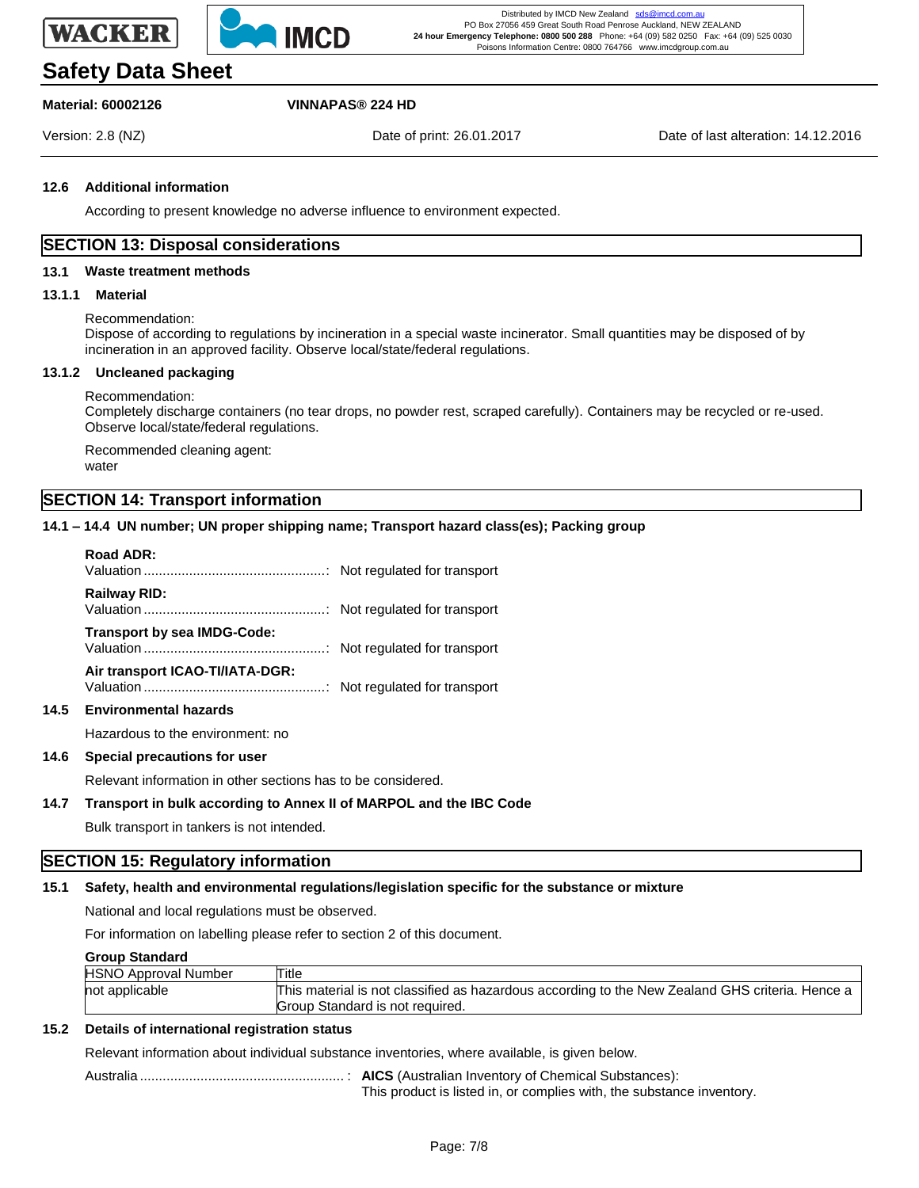



# **Safety Data Sheet**

# **Material: 60002126 VINNAPAS® 224 HD**

Version: 2.8 (NZ) Date of print: 26.01.2017 Date of last alteration: 14.12.2016

#### **12.6 Additional information**

According to present knowledge no adverse influence to environment expected.

## **SECTION 13: Disposal considerations**

#### **13.1 Waste treatment methods**

#### **13.1.1 Material**

#### Recommendation:

Dispose of according to regulations by incineration in a special waste incinerator. Small quantities may be disposed of by incineration in an approved facility. Observe local/state/federal regulations.

#### **13.1.2 Uncleaned packaging**

#### Recommendation:

Completely discharge containers (no tear drops, no powder rest, scraped carefully). Containers may be recycled or re-used. Observe local/state/federal regulations.

Recommended cleaning agent: water

# **SECTION 14: Transport information**

#### **14.1 – 14.4 UN number; UN proper shipping name; Transport hazard class(es); Packing group**

# **–14.4 Road ADR:** Valuation ................................................: Not regulated for transport **Railway RID:** Valuation ................................................: Not regulated for transport **Transport by sea IMDG-Code:** Valuation ................................................: Not regulated for transport **Air transport ICAO-TI/IATA-DGR:** Valuation ................................................: Not regulated for transport **14.5 Environmental hazards** Hazardous to the environment: no

#### **14.6 Special precautions for user**

Relevant information in other sections has to be considered.

#### **14.7 Transport in bulk according to Annex II of MARPOL and the IBC Code**

Bulk transport in tankers is not intended.

# **SECTION 15: Regulatory information**

### **15.1 Safety, health and environmental regulations/legislation specific for the substance or mixture**

National and local regulations must be observed.

For information on labelling please refer to section 2 of this document.

#### **Group Standard**

| -------------               |                                                                                                 |
|-----------------------------|-------------------------------------------------------------------------------------------------|
| <b>HSNO Approval Number</b> | Title                                                                                           |
| not applicable              | This material is not classified as hazardous according to the New Zealand GHS criteria. Hence a |
|                             | Group Standard is not required.                                                                 |

#### **15.2 Details of international registration status**

Relevant information about individual substance inventories, where available, is given below.

Australia ...................................................... : **AICS** (Australian Inventory of Chemical Substances): This product is listed in, or complies with, the substance inventory.